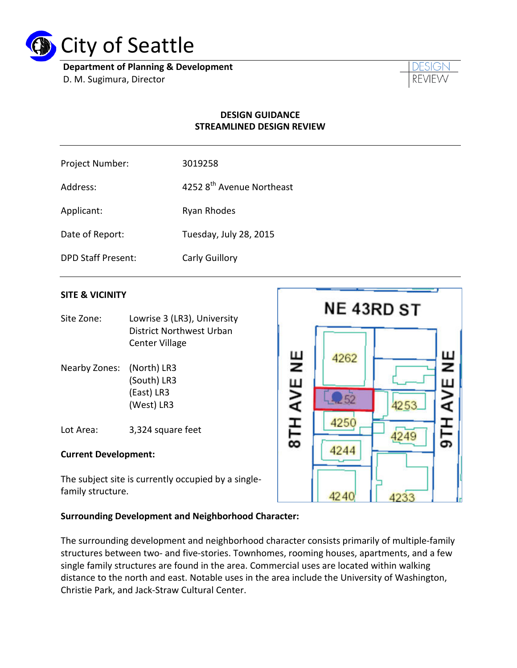

**Department of Planning & Development** D. M. Sugimura, Director



### **DESIGN GUIDANCE STREAMLINED DESIGN REVIEW**

| Project Number: | 3019258 |
|-----------------|---------|
|-----------------|---------|

Address:  $42528<sup>th</sup>$  Avenue Northeast

Applicant: Ryan Rhodes

Date of Report: Tuesday, July 28, 2015

DPD Staff Present: Carly Guillory

## **SITE & VICINITY**

- Site Zone: Lowrise 3 (LR3), University District Northwest Urban Center Village
- Nearby Zones: (North) LR3 (South) LR3 (East) LR3 (West) LR3

Lot Area: 3,324 square feet

#### **Current Development:**

The subject site is currently occupied by a singlefamily structure.



#### **Surrounding Development and Neighborhood Character:**

The surrounding development and neighborhood character consists primarily of multiple-family structures between two- and five-stories. Townhomes, rooming houses, apartments, and a few single family structures are found in the area. Commercial uses are located within walking distance to the north and east. Notable uses in the area include the University of Washington, Christie Park, and Jack-Straw Cultural Center.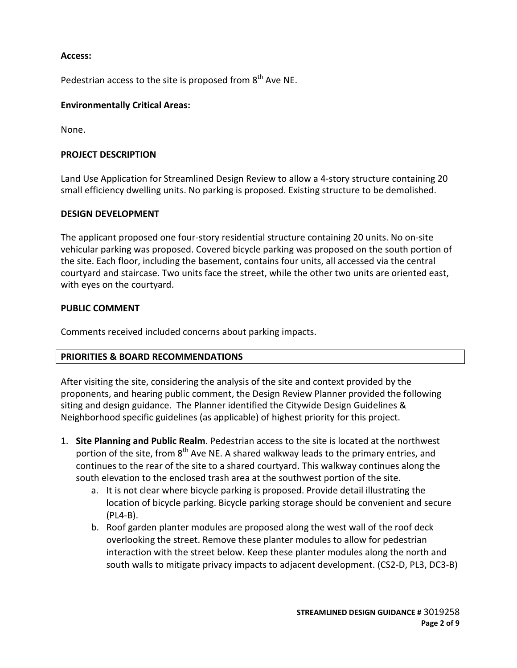#### **Access:**

Pedestrian access to the site is proposed from 8<sup>th</sup> Ave NE.

### **Environmentally Critical Areas:**

None.

#### **PROJECT DESCRIPTION**

Land Use Application for Streamlined Design Review to allow a 4-story structure containing 20 small efficiency dwelling units. No parking is proposed. Existing structure to be demolished.

#### **DESIGN DEVELOPMENT**

The applicant proposed one four-story residential structure containing 20 units. No on-site vehicular parking was proposed. Covered bicycle parking was proposed on the south portion of the site. Each floor, including the basement, contains four units, all accessed via the central courtyard and staircase. Two units face the street, while the other two units are oriented east, with eyes on the courtyard.

#### **PUBLIC COMMENT**

Comments received included concerns about parking impacts.

#### **PRIORITIES & BOARD RECOMMENDATIONS**

After visiting the site, considering the analysis of the site and context provided by the proponents, and hearing public comment, the Design Review Planner provided the following siting and design guidance. The Planner identified the Citywide Design Guidelines & Neighborhood specific guidelines (as applicable) of highest priority for this project.

- 1. **Site Planning and Public Realm**. Pedestrian access to the site is located at the northwest portion of the site, from  $8<sup>th</sup>$  Ave NE. A shared walkway leads to the primary entries, and continues to the rear of the site to a shared courtyard. This walkway continues along the south elevation to the enclosed trash area at the southwest portion of the site.
	- a. It is not clear where bicycle parking is proposed. Provide detail illustrating the location of bicycle parking. Bicycle parking storage should be convenient and secure (PL4-B).
	- b. Roof garden planter modules are proposed along the west wall of the roof deck overlooking the street. Remove these planter modules to allow for pedestrian interaction with the street below. Keep these planter modules along the north and south walls to mitigate privacy impacts to adjacent development. (CS2-D, PL3, DC3-B)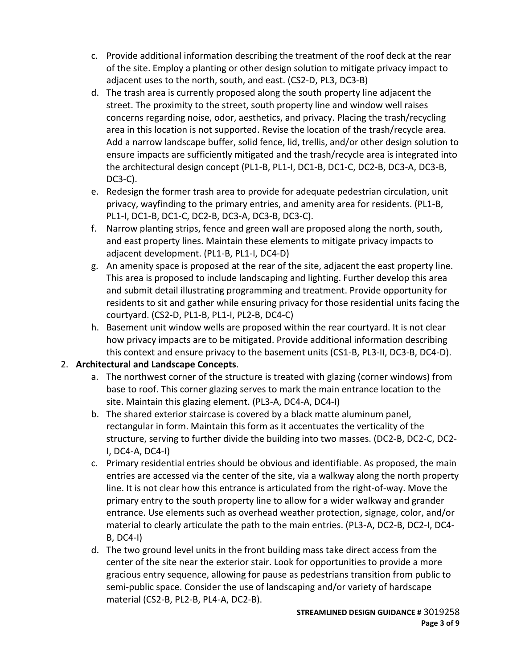- c. Provide additional information describing the treatment of the roof deck at the rear of the site. Employ a planting or other design solution to mitigate privacy impact to adjacent uses to the north, south, and east. (CS2-D, PL3, DC3-B)
- d. The trash area is currently proposed along the south property line adjacent the street. The proximity to the street, south property line and window well raises concerns regarding noise, odor, aesthetics, and privacy. Placing the trash/recycling area in this location is not supported. Revise the location of the trash/recycle area. Add a narrow landscape buffer, solid fence, lid, trellis, and/or other design solution to ensure impacts are sufficiently mitigated and the trash/recycle area is integrated into the architectural design concept (PL1-B, PL1-I, DC1-B, DC1-C, DC2-B, DC3-A, DC3-B, DC3-C).
- e. Redesign the former trash area to provide for adequate pedestrian circulation, unit privacy, wayfinding to the primary entries, and amenity area for residents. (PL1-B, PL1-I, DC1-B, DC1-C, DC2-B, DC3-A, DC3-B, DC3-C).
- f. Narrow planting strips, fence and green wall are proposed along the north, south, and east property lines. Maintain these elements to mitigate privacy impacts to adjacent development. (PL1-B, PL1-I, DC4-D)
- g. An amenity space is proposed at the rear of the site, adjacent the east property line. This area is proposed to include landscaping and lighting. Further develop this area and submit detail illustrating programming and treatment. Provide opportunity for residents to sit and gather while ensuring privacy for those residential units facing the courtyard. (CS2-D, PL1-B, PL1-I, PL2-B, DC4-C)
- h. Basement unit window wells are proposed within the rear courtyard. It is not clear how privacy impacts are to be mitigated. Provide additional information describing this context and ensure privacy to the basement units (CS1-B, PL3-II, DC3-B, DC4-D).

# 2. **Architectural and Landscape Concepts**.

- a. The northwest corner of the structure is treated with glazing (corner windows) from base to roof. This corner glazing serves to mark the main entrance location to the site. Maintain this glazing element. (PL3-A, DC4-A, DC4-I)
- b. The shared exterior staircase is covered by a black matte aluminum panel, rectangular in form. Maintain this form as it accentuates the verticality of the structure, serving to further divide the building into two masses. (DC2-B, DC2-C, DC2- I, DC4-A, DC4-I)
- c. Primary residential entries should be obvious and identifiable. As proposed, the main entries are accessed via the center of the site, via a walkway along the north property line. It is not clear how this entrance is articulated from the right-of-way. Move the primary entry to the south property line to allow for a wider walkway and grander entrance. Use elements such as overhead weather protection, signage, color, and/or material to clearly articulate the path to the main entries. (PL3-A, DC2-B, DC2-I, DC4- B, DC4-I)
- d. The two ground level units in the front building mass take direct access from the center of the site near the exterior stair. Look for opportunities to provide a more gracious entry sequence, allowing for pause as pedestrians transition from public to semi-public space. Consider the use of landscaping and/or variety of hardscape material (CS2-B, PL2-B, PL4-A, DC2-B).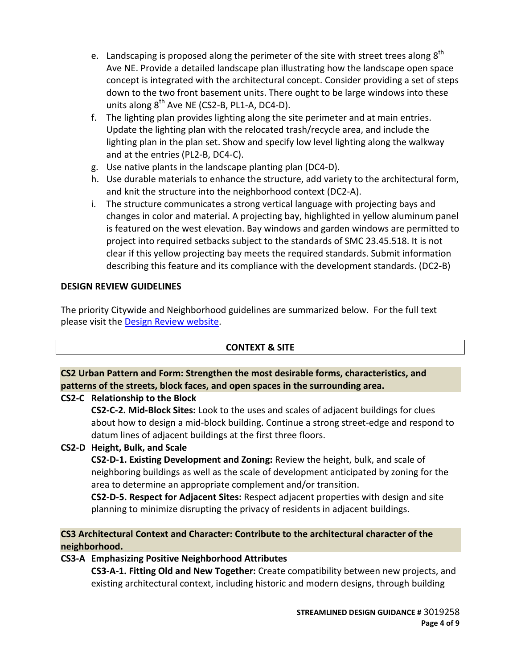- e. Landscaping is proposed along the perimeter of the site with street trees along  $8<sup>th</sup>$ Ave NE. Provide a detailed landscape plan illustrating how the landscape open space concept is integrated with the architectural concept. Consider providing a set of steps down to the two front basement units. There ought to be large windows into these units along  $8^{th}$  Ave NE (CS2-B, PL1-A, DC4-D).
- f. The lighting plan provides lighting along the site perimeter and at main entries. Update the lighting plan with the relocated trash/recycle area, and include the lighting plan in the plan set. Show and specify low level lighting along the walkway and at the entries (PL2-B, DC4-C).
- g. Use native plants in the landscape planting plan (DC4-D).
- h. Use durable materials to enhance the structure, add variety to the architectural form, and knit the structure into the neighborhood context (DC2-A).
- i. The structure communicates a strong vertical language with projecting bays and changes in color and material. A projecting bay, highlighted in yellow aluminum panel is featured on the west elevation. Bay windows and garden windows are permitted to project into required setbacks subject to the standards of SMC 23.45.518. It is not clear if this yellow projecting bay meets the required standards. Submit information describing this feature and its compliance with the development standards. (DC2-B)

## **DESIGN REVIEW GUIDELINES**

The priority Citywide and Neighborhood guidelines are summarized below. For the full text please visit the [Design Review website.](https://www.seattle.gov/dpd/aboutus/whoweare/designreview/designguidelines/default.htm)

# **CONTEXT & SITE**

# **CS2 Urban Pattern and Form: Strengthen the most desirable forms, characteristics, and patterns of the streets, block faces, and open spaces in the surrounding area.**

## **CS2-C Relationship to the Block**

**CS2-C-2. Mid-Block Sites:** Look to the uses and scales of adjacent buildings for clues about how to design a mid-block building. Continue a strong street-edge and respond to datum lines of adjacent buildings at the first three floors.

# **CS2-D Height, Bulk, and Scale**

**CS2-D-1. Existing Development and Zoning:** Review the height, bulk, and scale of neighboring buildings as well as the scale of development anticipated by zoning for the area to determine an appropriate complement and/or transition.

**CS2-D-5. Respect for Adjacent Sites:** Respect adjacent properties with design and site planning to minimize disrupting the privacy of residents in adjacent buildings.

# **CS3 Architectural Context and Character: Contribute to the architectural character of the neighborhood.**

# **CS3-A Emphasizing Positive Neighborhood Attributes**

**CS3-A-1. Fitting Old and New Together:** Create compatibility between new projects, and existing architectural context, including historic and modern designs, through building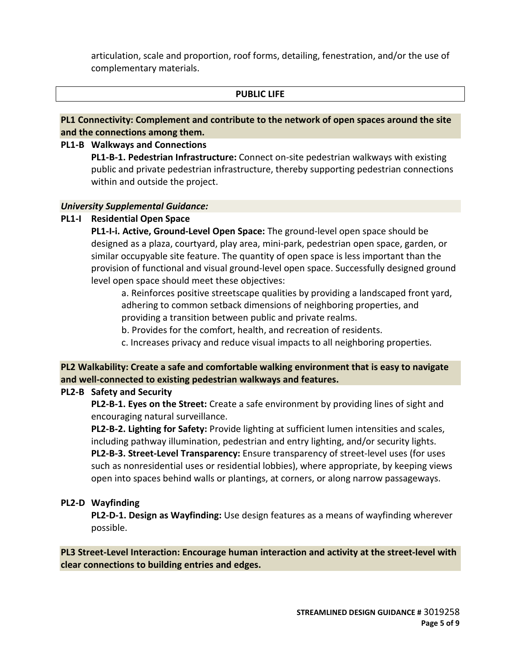articulation, scale and proportion, roof forms, detailing, fenestration, and/or the use of complementary materials.

#### **PUBLIC LIFE**

**PL1 Connectivity: Complement and contribute to the network of open spaces around the site and the connections among them.**

#### **PL1-B Walkways and Connections**

**PL1-B-1. Pedestrian Infrastructure:** Connect on-site pedestrian walkways with existing public and private pedestrian infrastructure, thereby supporting pedestrian connections within and outside the project.

#### *University Supplemental Guidance:*

#### **PL1-I Residential Open Space**

**PL1-I-i. Active, Ground-Level Open Space:** The ground-level open space should be designed as a plaza, courtyard, play area, mini-park, pedestrian open space, garden, or similar occupyable site feature. The quantity of open space is less important than the provision of functional and visual ground-level open space. Successfully designed ground level open space should meet these objectives:

a. Reinforces positive streetscape qualities by providing a landscaped front yard, adhering to common setback dimensions of neighboring properties, and providing a transition between public and private realms.

b. Provides for the comfort, health, and recreation of residents.

c. Increases privacy and reduce visual impacts to all neighboring properties.

**PL2 Walkability: Create a safe and comfortable walking environment that is easy to navigate and well-connected to existing pedestrian walkways and features.**

#### **PL2-B Safety and Security**

**PL2-B-1. Eyes on the Street:** Create a safe environment by providing lines of sight and encouraging natural surveillance.

**PL2-B-2. Lighting for Safety:** Provide lighting at sufficient lumen intensities and scales, including pathway illumination, pedestrian and entry lighting, and/or security lights. **PL2-B-3. Street-Level Transparency:** Ensure transparency of street-level uses (for uses such as nonresidential uses or residential lobbies), where appropriate, by keeping views open into spaces behind walls or plantings, at corners, or along narrow passageways.

#### **PL2-D Wayfinding**

**PL2-D-1. Design as Wayfinding:** Use design features as a means of wayfinding wherever possible.

**PL3 Street-Level Interaction: Encourage human interaction and activity at the street-level with clear connections to building entries and edges.**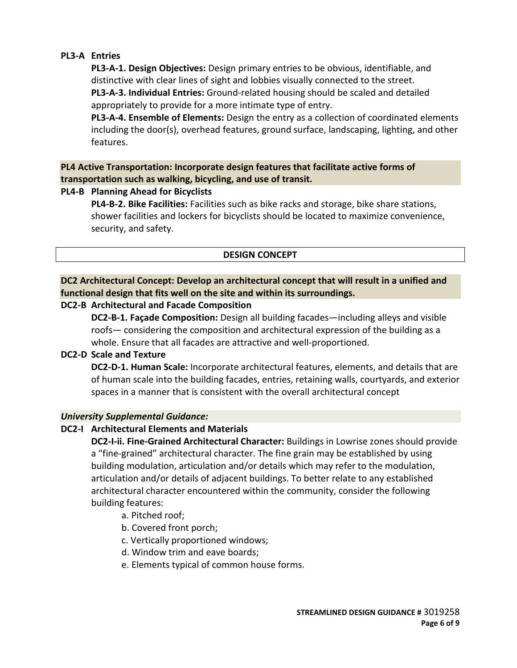## **PL3-A Entries**

**PL3-A-1. Design Objectives:** Design primary entries to be obvious, identifiable, and distinctive with clear lines of sight and lobbies visually connected to the street. **PL3-A-3. Individual Entries:** Ground-related housing should be scaled and detailed appropriately to provide for a more intimate type of entry.

**PL3-A-4. Ensemble of Elements:** Design the entry as a collection of coordinated elements including the door(s), overhead features, ground surface, landscaping, lighting, and other features.

**PL4 Active Transportation: Incorporate design features that facilitate active forms of transportation such as walking, bicycling, and use of transit.**

## **PL4-B Planning Ahead for Bicyclists**

**PL4-B-2. Bike Facilities:** Facilities such as bike racks and storage, bike share stations, shower facilities and lockers for bicyclists should be located to maximize convenience, security, and safety.

## **DESIGN CONCEPT**

# **DC2 Architectural Concept: Develop an architectural concept that will result in a unified and functional design that fits well on the site and within its surroundings.**

## **DC2-B Architectural and Facade Composition**

**DC2-B-1. Façade Composition:** Design all building facades—including alleys and visible roofs— considering the composition and architectural expression of the building as a whole. Ensure that all facades are attractive and well-proportioned.

#### **DC2-D Scale and Texture**

**DC2-D-1. Human Scale:** Incorporate architectural features, elements, and details that are of human scale into the building facades, entries, retaining walls, courtyards, and exterior spaces in a manner that is consistent with the overall architectural concept

#### *University Supplemental Guidance:*

## **DC2-I Architectural Elements and Materials**

**DC2-I-ii. Fine-Grained Architectural Character:** Buildings in Lowrise zones should provide a "fine-grained" architectural character. The fine grain may be established by using building modulation, articulation and/or details which may refer to the modulation, articulation and/or details of adjacent buildings. To better relate to any established architectural character encountered within the community, consider the following building features:

- a. Pitched roof;
- b. Covered front porch;
- c. Vertically proportioned windows;
- d. Window trim and eave boards;
- e. Elements typical of common house forms.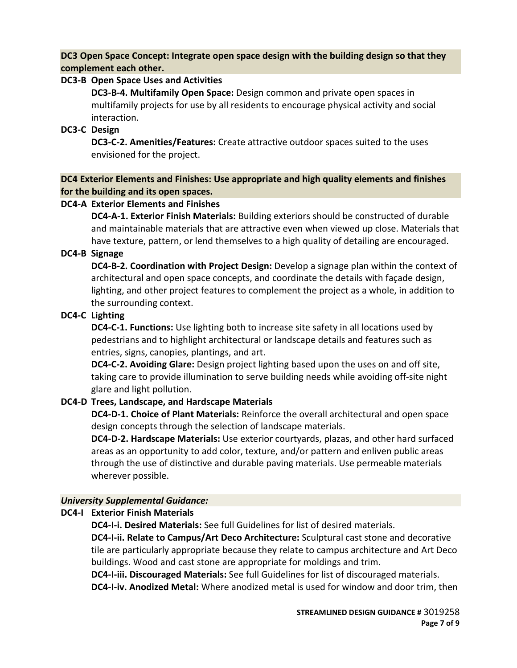**DC3 Open Space Concept: Integrate open space design with the building design so that they complement each other.**

## **DC3-B Open Space Uses and Activities**

**DC3-B-4. Multifamily Open Space:** Design common and private open spaces in multifamily projects for use by all residents to encourage physical activity and social interaction.

## **DC3-C Design**

**DC3-C-2. Amenities/Features:** Create attractive outdoor spaces suited to the uses envisioned for the project.

**DC4 Exterior Elements and Finishes: Use appropriate and high quality elements and finishes for the building and its open spaces.**

## **DC4-A Exterior Elements and Finishes**

**DC4-A-1. Exterior Finish Materials:** Building exteriors should be constructed of durable and maintainable materials that are attractive even when viewed up close. Materials that have texture, pattern, or lend themselves to a high quality of detailing are encouraged.

## **DC4-B Signage**

**DC4-B-2. Coordination with Project Design:** Develop a signage plan within the context of architectural and open space concepts, and coordinate the details with façade design, lighting, and other project features to complement the project as a whole, in addition to the surrounding context.

## **DC4-C Lighting**

**DC4-C-1. Functions:** Use lighting both to increase site safety in all locations used by pedestrians and to highlight architectural or landscape details and features such as entries, signs, canopies, plantings, and art.

**DC4-C-2. Avoiding Glare:** Design project lighting based upon the uses on and off site, taking care to provide illumination to serve building needs while avoiding off-site night glare and light pollution.

## **DC4-D Trees, Landscape, and Hardscape Materials**

**DC4-D-1. Choice of Plant Materials:** Reinforce the overall architectural and open space design concepts through the selection of landscape materials.

**DC4-D-2. Hardscape Materials:** Use exterior courtyards, plazas, and other hard surfaced areas as an opportunity to add color, texture, and/or pattern and enliven public areas through the use of distinctive and durable paving materials. Use permeable materials wherever possible.

## *University Supplemental Guidance:*

## **DC4-I Exterior Finish Materials**

**DC4-I-i. Desired Materials:** See full Guidelines for list of desired materials.

**DC4-I-ii. Relate to Campus/Art Deco Architecture:** Sculptural cast stone and decorative tile are particularly appropriate because they relate to campus architecture and Art Deco buildings. Wood and cast stone are appropriate for moldings and trim.

**DC4-I-iii. Discouraged Materials:** See full Guidelines for list of discouraged materials. **DC4-I-iv. Anodized Metal:** Where anodized metal is used for window and door trim, then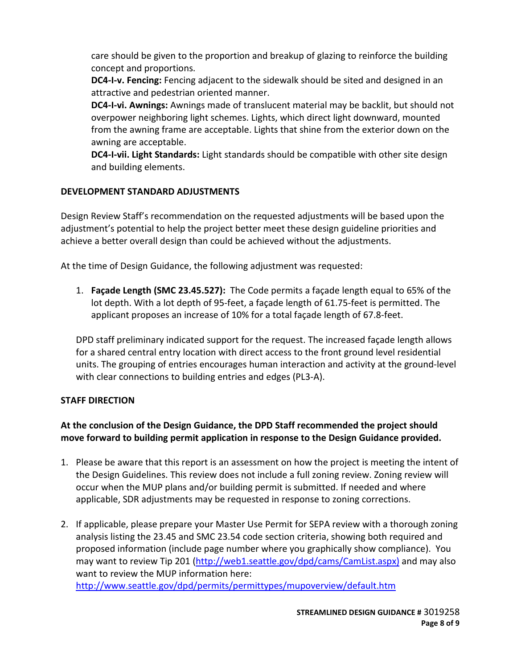care should be given to the proportion and breakup of glazing to reinforce the building concept and proportions.

**DC4-I-v. Fencing:** Fencing adjacent to the sidewalk should be sited and designed in an attractive and pedestrian oriented manner.

**DC4-I-vi. Awnings:** Awnings made of translucent material may be backlit, but should not overpower neighboring light schemes. Lights, which direct light downward, mounted from the awning frame are acceptable. Lights that shine from the exterior down on the awning are acceptable.

**DC4-I-vii. Light Standards:** Light standards should be compatible with other site design and building elements.

# **DEVELOPMENT STANDARD ADJUSTMENTS**

Design Review Staff's recommendation on the requested adjustments will be based upon the adjustment's potential to help the project better meet these design guideline priorities and achieve a better overall design than could be achieved without the adjustments.

At the time of Design Guidance, the following adjustment was requested:

1. **Façade Length (SMC 23.45.527):** The Code permits a façade length equal to 65% of the lot depth. With a lot depth of 95-feet, a façade length of 61.75-feet is permitted. The applicant proposes an increase of 10% for a total façade length of 67.8-feet.

DPD staff preliminary indicated support for the request. The increased façade length allows for a shared central entry location with direct access to the front ground level residential units. The grouping of entries encourages human interaction and activity at the ground-level with clear connections to building entries and edges (PL3-A).

## **STAFF DIRECTION**

# **At the conclusion of the Design Guidance, the DPD Staff recommended the project should move forward to building permit application in response to the Design Guidance provided.**

- 1. Please be aware that this report is an assessment on how the project is meeting the intent of the Design Guidelines. This review does not include a full zoning review. Zoning review will occur when the MUP plans and/or building permit is submitted. If needed and where applicable, SDR adjustments may be requested in response to zoning corrections.
- 2. If applicable, please prepare your Master Use Permit for SEPA review with a thorough zoning analysis listing the 23.45 and SMC 23.54 code section criteria, showing both required and proposed information (include page number where you graphically show compliance). You may want to review Tip 201 [\(http://web1.seattle.gov/dpd/cams/CamList.aspx\)](http://web1.seattle.gov/dpd/cams/CamList.aspx) and may also want to review the MUP information here: <http://www.seattle.gov/dpd/permits/permittypes/mupoverview/default.htm>